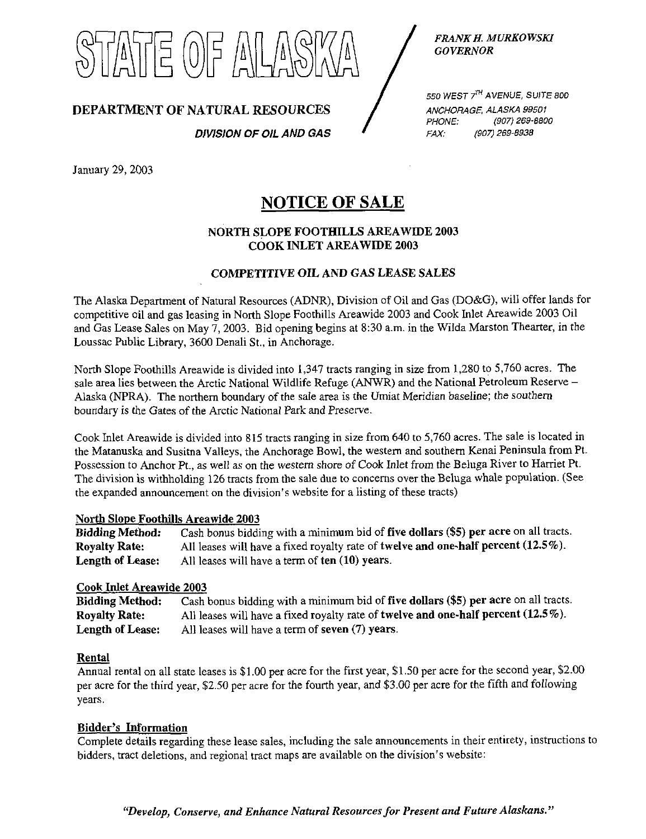11동 (0)를 A

FRANK H. MURKOWSKI GOVERNOR

DEPARTMENT OF NATURAL RESOURCES

DIVISION OF OIL AND GAS

550 WEST  $7^{74}$  AVENUE, SUITE 800 ANCHORAGE, ALASKA 99501<br>PHONE: (907) 269-880 PHONE: (907) 269-8800 FAX: (907) 269-8938

January 29,2003

# NOTICE OF SALE

## NORTH SLOPE FOOTHILLS AREAWIDE 2003 COOK INLET AREAWIDE 2003

### COMPETITIVE OIL AND GAS LEASE SALES

The Alaska Department of Natural Resources (ADNR), Division of Oil and Gas (DO&G), will offer lands for competitive oil and gas leasing in North Slope Foothills Areawide 2003 and Cook Inlet Areawide 2003 Oil and Gas Lease Sales on May 7, 2003. Bid opening begins at 8:30 a.m. in the Wilda Marston Thearter, in the Loussac Public Library, 3600 Denali St., in Anchorage.

North Slope Foothills Areawide is divided into 1,347 tracts ranging in size from 1,280 to 5,760 acres. The sale area lies between the Arctic National Wildlife Refuge (ANWR) and the National Petroleum Reserve – Alaska (NPRA). The northern boundary of the sale area is the Umiat Meridian baseline; the southern boundary is the Gates of the Arctic National Park and Preserve.

Cook Inlet Areawide is divided into 815 tracts ranging in size from 640 to 5,760 acres. The sale is located in the Matanuska and Susitna Valleys, the Anchorage Bowl, the western and southern Kenai Peninsula from Pt. Possession to Anchor R., as well as on the western shore of Cook Inlet from the Beluga River to Harriet Pt. The division is withholding 126 tracts from the sale due to concerns over the Beluga whale population. (See the expanded announcement on the division's website for a listing of these tracts)

### North Slope Foothills Areawide 2003

Bidding Method: Cash bonus bidding with a minimum bid of five dollars (\$5) per acre on all tracts. Royalty Rate: All leases will have a fixed royalty rate of twelve and one-half percent (12.5%). **Length of Lease:** All leases will have a term of  $ten(10)$  years.

### Cook Inlet Areawide 2003

Bidding Method: Cash bonus bidding with a minimum bid of five dollars (\$5) per acre on all tracts. Royalty Rate: All leases will have a fixed royalty rate of twelve and one-half percent  $(12.5\%)$ . Length of Lease: All leases will have a term of seven (7) years.

### Rental

Annual rental on all state leases is \$1.00 per acre for the first year, \$1.50 per acre for the second year, \$2.00 per acre for the third year, \$2.50 per acre for the fourth year, and \$3.00 per acre for the fifth and following years.

### Bidder's Information

Complete details regarding these lease sales, including the sale announcements in their entirety, instractions to bidders, tract deletions, and regional tract maps are available on the division's website:

"Develop, Conserve, and Enhance Natural Resources for Present and Future Alaskans."